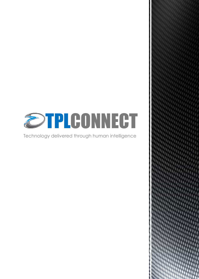

Technology delivered through human intelligence

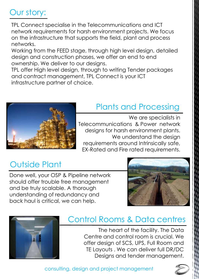## Our story:

TPL Connect specialise in the Telecommunications and ICT network requirements for harsh environment projects. We focus on the infrastructure that supports the field, plant and process networks.

Working from the FEED stage, through high level design, detailed design and construction phases, we offer an end to end ownership. We deliver to our designs.

TPL offer High level design, through to writing Tender packages and contract management, TPL Connect is your ICT infrastructure partner of choice.



## Plants and Processing

We are specialists in Telecommunications & Power network designs for harsh environment plants. We understand the design requirements around Intrinsically safe, EX-Rated and Fire rated requirements.

## Outside Plant

Done well, your OSP & Pipeline network should offer trouble free management and be truly scalable. A thorough understanding of redundancy and back haul is critical, we can help.





### Control Rooms & Data centres

The heart of the facility. The Data Centre and control room is crucial. We offer design of SCS, UPS, Full Room and TE Layouts . We can deliver full DR/DC Designs and tender management.

consulting, design and project management

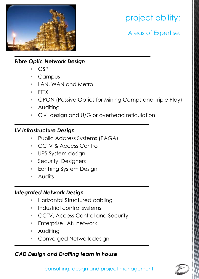

## project ability:

Areas of Expertise:

#### *Fibre Optic Network Design*

- OSP
- **Campus**
- LAN, WAN and Metro
- FTTX
- GPON (Passive Optics for Mining Camps and Triple Play)
- Auditing
- Civil design and U/G or overhead reticulation

#### *LV infrastructure Design*

- Public Address Systems (PAGA)
- CCTV & Access Control
- UPS System design
- Security Designers
- Earthing System Design
- **Audits**

#### *Integrated Network Design*

- Horizontal Structured cabling
- Industrial control systems
- CCTV, Access Control and Security
- Enterprise LAN network
- Auditing
- Converged Network design

#### *CAD Design and Drafting team in house*

consulting, design and project management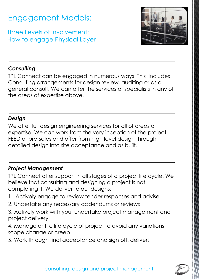## Engagement Models:

Three Levels of involvement: How to engage Physical Layer



#### *Consulting*

TPL Connect can be engaged in numerous ways. This includes Consulting arrangements for design review, auditing or as a general consult. We can offer the services of specialists in any of the areas of expertise above.

#### *Design*

We offer full design engineering services for all of areas of expertise. We can work from the very inception of the project, FEED or pre-sales and offer from high level design through detailed design into site acceptance and as built.

#### *Project Management*

TPL Connect offer support in all stages of a project life cycle. We believe that consulting and designing a project is not completing it. We deliver to our designs:

- 1. Actively engage to review tender responses and advise
- 2. Undertake any necessary addendums or reviews
- 3. Actively work with you, undertake project management and project delivery
- 4. Manage entire life cycle of project to avoid any variations, scope change or creep
- 5. Work through final acceptance and sign off: deliver!